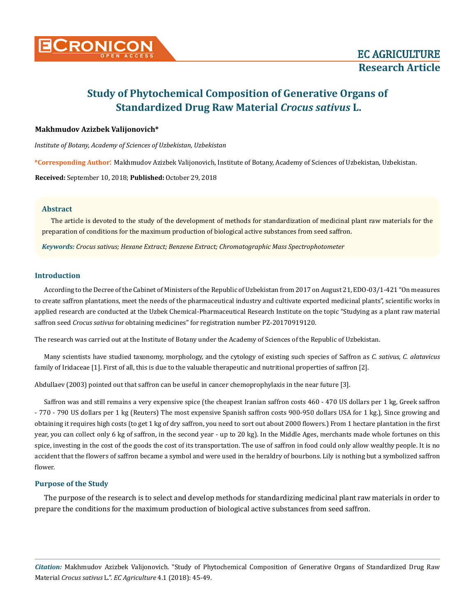

# **Study of Phytochemical Composition of Generative Organs of Standardized Drug Raw Material** *Crocus sativus* **L.**

## **Makhmudov Аzizbek Valijonovich\***

*Institute of Botany, Academy of Sciences of Uzbekistan, Uzbekistan*

**\*Corresponding Author**: Makhmudov Аzizbek Valijonovich, Institute of Botany, Academy of Sciences of Uzbekistan, Uzbekistan.

**Received:** September 10, 2018; **Published:** October 29, 2018

### **Abstract**

The article is devoted to the study of the development of methods for standardization of medicinal plant raw materials for the preparation of conditions for the maximum production of biological active substances from seed saffron.

*Keywords: Сrocus sativus; Hexane Extract; Benzene Extract; Chromatographic Mass Spectrophotometer*

### **Introduction**

According to the Decree of the Cabinet of Ministers of the Republic of Uzbekistan from 2017 on August 21, EDO-03/1-421 "On measures to create saffron plantations, meet the needs of the pharmaceutical industry and cultivate exported medicinal plants", scientific works in applied research are conducted at the Uzbek Chemical-Pharmaceutical Research Institute on the topic "Studying as a plant raw material saffron seed *Crocus sativus* for obtaining medicines" for registration number PZ-20170919120.

The research was carried out at the Institute of Botany under the Academy of Sciences of the Republic of Uzbekistan.

Many scientists have studied taxonomy, morphology, and the cytology of existing such species of Saffron as *C. sativus*, *C. alatavicus* family of Iridaceae [1]. First of all, this is due to the valuable therapeutic and nutritional properties of saffron [2].

Abdullaev (2003) pointed out that saffron can be useful in cancer chemoprophylaxis in the near future [3].

Saffron was and still remains a very expensive spice (the cheapest Iranian saffron costs 460 - 470 US dollars per 1 kg, Greek saffron - 770 - 790 US dollars per 1 kg (Reuters) The most expensive Spanish saffron costs 900-950 dollars USA for 1 kg.), Since growing and obtaining it requires high costs (to get 1 kg of dry saffron, you need to sort out about 2000 flowers.) From 1 hectare plantation in the first year, you can collect only 6 kg of saffron, in the second year - up to 20 kg). In the Middle Ages, merchants made whole fortunes on this spice, investing in the cost of the goods the cost of its transportation. The use of saffron in food could only allow wealthy people. It is no accident that the flowers of saffron became a symbol and were used in the heraldry of bourbons. Lily is nothing but a symbolized saffron flower.

### **Purpose of the Study**

The purpose of the research is to select and develop methods for standardizing medicinal plant raw materials in order to prepare the conditions for the maximum production of biological active substances from seed saffron.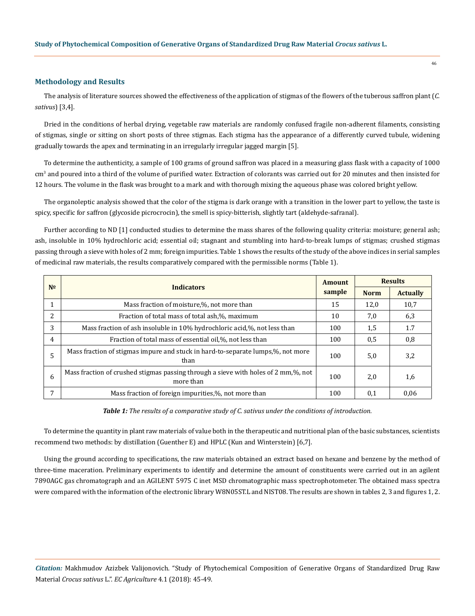#### **Methodology and Results**

The analysis of literature sources showed the effectiveness of the application of stigmas of the flowers of the tuberous saffron plant (*C. sativus*) [3,4].

Dried in the conditions of herbal drying, vegetable raw materials are randomly confused fragile non-adherent filaments, consisting of stigmas, single or sitting on short posts of three stigmas. Each stigma has the appearance of a differently curved tubule, widening gradually towards the apex and terminating in an irregularly irregular jagged margin [5].

To determine the authenticity, a sample of 100 grams of ground saffron was placed in a measuring glass flask with a capacity of 1000 cm<sup>3</sup> and poured into a third of the volume of purified water. Extraction of colorants was carried out for 20 minutes and then insisted for 12 hours. The volume in the flask was brought to a mark and with thorough mixing the aqueous phase was colored bright yellow.

The organoleptic analysis showed that the color of the stigma is dark orange with a transition in the lower part to yellow, the taste is spicy, specific for saffron (glycoside picrocrocin), the smell is spicy-bitterish, slightly tart (aldehyde-safranal).

Further according to ND [1] conducted studies to determine the mass shares of the following quality criteria: moisture; general ash; ash, insoluble in 10% hydrochloric acid; essential oil; stagnant and stumbling into hard-to-break lumps of stigmas; crushed stigmas passing through a sieve with holes of 2 mm; foreign impurities. Table 1 shows the results of the study of the above indices in serial samples of medicinal raw materials, the results comparatively compared with the permissible norms (Table 1).

| N <sub>o</sub> | <b>Indicators</b>                                                                               |     | <b>Results</b> |                 |
|----------------|-------------------------------------------------------------------------------------------------|-----|----------------|-----------------|
|                |                                                                                                 |     | <b>Norm</b>    | <b>Actually</b> |
|                | Mass fraction of moisture,%, not more than                                                      | 15  | 12,0           | 10,7            |
| 2              | Fraction of total mass of total ash,%, maximum                                                  | 10  | 7,0            | 6,3             |
| 3              | Mass fraction of ash insoluble in 10% hydrochloric acid,%, not less than                        | 100 | 1,5            | 1.7             |
| 4              | Fraction of total mass of essential oil,%, not less than                                        | 100 | 0.5            | 0,8             |
| 5              | Mass fraction of stigmas impure and stuck in hard-to-separate lumps,%, not more<br>than         | 100 | 5,0            | 3,2             |
| 6              | Mass fraction of crushed stigmas passing through a sieve with holes of 2 mm,%, not<br>more than | 100 | 2,0            | 1,6             |
| 7              | Mass fraction of foreign impurities,%, not more than                                            | 100 | 0,1            | 0,06            |

*Table 1: The results of a comparative study of C. sativus under the conditions of introduction.*

To determine the quantity in plant raw materials of value both in the therapeutic and nutritional plan of the basic substances, scientists recommend two methods: by distillation (Guenther E) and HPLC (Kun and Winterstein) [6,7].

Using the ground according to specifications, the raw materials obtained an extract based on hexane and benzene by the method of three-time maceration. Preliminary experiments to identify and determine the amount of constituents were carried out in an agilent 7890AGC gas chromatograph and an AGILENT 5975 C inet MSD chromatographic mass spectrophotometer. The obtained mass spectra were compared with the information of the electronic library W8N05ST.L and NIST08. The results are shown in tables 2, 3 and figures 1, 2.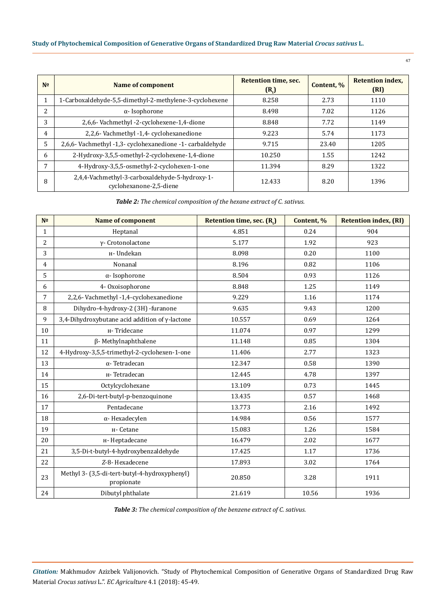# **Study of Phytochemical Composition of Generative Organs of Standardized Drug Raw Material** *Crocus sativus* **L.**

| N <sup>o</sup>           | Name of component                                                         | Retention time, sec.<br>(R <sub>r</sub> ) | Content, % | <b>Retention index,</b><br>(RI) |
|--------------------------|---------------------------------------------------------------------------|-------------------------------------------|------------|---------------------------------|
| 1                        | 1-Carboxaldehyde-5,5-dimethyl-2-methylene-3-cyclohexene                   | 8.258                                     | 2.73       | 1110                            |
| $\overline{\mathcal{L}}$ | $\alpha$ - Isophorone                                                     | 8.498                                     | 7.02       | 1126                            |
| 3                        | 2,6,6- Vachmethyl -2-cyclohexene-1,4-dione                                | 8.848                                     | 7.72       | 1149                            |
| $\overline{4}$           | 2,2,6- Vachmethyl -1,4- cyclohexanedione                                  | 9.223                                     | 5.74       | 1173                            |
| 5                        | 2,6,6- Vachmethyl -1,3- cyclohexanedione -1- carbaldehyde                 | 9.715                                     | 23.40      | 1205                            |
| 6                        | 2-Hydroxy-3,5,5-omethyl-2-cyclohexene-1,4-dione                           | 10.250                                    | 1.55       | 1242                            |
| 7                        | 4-Hydroxy-3,5,5-osmethyl-2-cyclohexen-1-one                               | 11.394                                    | 8.29       | 1322                            |
| 8                        | 2,4,4-Vachmethyl-3-carboxaldehyde-5-hydroxy-1-<br>cyclohexanone-2,5-diene | 12.433                                    | 8.20       | 1396                            |

*Table 2: The chemical composition of the hexane extract of C. sativus.*

| N <sub>2</sub> | <b>Name of component</b>                                    | Retention time, sec. (R.) | Content, % | <b>Retention index, (RI)</b> |
|----------------|-------------------------------------------------------------|---------------------------|------------|------------------------------|
| $\mathbf{1}$   | Heptanal                                                    | 4.851                     | 0.24       | 904                          |
| 2              | γ- Crotonolactone                                           | 5.177                     | 1.92       | 923                          |
| 3              | н- Undekan                                                  | 8.098                     | 0.20       | 1100                         |
| 4              | Nonanal                                                     | 8.196                     | 0.82       | 1106                         |
| 5              | α-Isophorone                                                | 8.504                     | 0.93       | 1126                         |
| 6              | 4- Oxoisophorone                                            | 8.848                     | 1.25       | 1149                         |
| 7              | 2,2,6- Vachmethyl -1,4-cyclohexanedione                     | 9.229                     | 1.16       | 1174                         |
| 8              | Dihydro-4-hydroxy-2 (3H) -furanone                          | 9.635                     | 9.43       | 1200                         |
| 9              | 3,4-Dihydroxybutane acid addition of $\gamma$ -lactone      | 10.557                    | 0.69       | 1264                         |
| 10             | н-Tridecane                                                 | 11.074                    | 0.97       | 1299                         |
| 11             | $\beta$ - Methylnaphthalene                                 | 11.148                    | 0.85       | 1304                         |
| 12             | 4-Hydroxy-3,5,5-trimethyl-2-cyclohexen-1-one                | 11.406                    | 2.77       | 1323                         |
| 13             | $\alpha$ - Tetradecan                                       | 12.347                    | 0.58       | 1390                         |
| 14             | н-Tetradecan                                                | 12.445                    | 4.78       | 1397                         |
| 15             | Octylcyclohexane                                            | 13.109                    | 0.73       | 1445                         |
| 16             | 2,6-Di-tert-butyl-p-benzoquinone                            | 13.435                    | 0.57       | 1468                         |
| 17             | Pentadecane                                                 | 13.773                    | 2.16       | 1492                         |
| 18             | $\alpha$ -Hexadecylen                                       | 14.984                    | 0.56       | 1577                         |
| 19             | н- Cetane                                                   | 15.083                    | 1.26       | 1584                         |
| 20             | н-Heptadecane                                               | 16.479                    | 2.02       | 1677                         |
| 21             | 3,5-Di-t-butyl-4-hydroxybenzaldehyde                        | 17.425                    | 1.17       | 1736                         |
| 22             | Z-8- Hexadecene                                             | 17.893                    | 3.02       | 1764                         |
| 23             | Methyl 3- (3,5-di-tert-butyl-4-hydroxyphenyl)<br>propionate | 20.850                    | 3.28       | 1911                         |
| 24             | Dibutyl phthalate                                           | 21.619                    | 10.56      | 1936                         |

*Table 3: The chemical composition of the benzene extract of C. sativus.*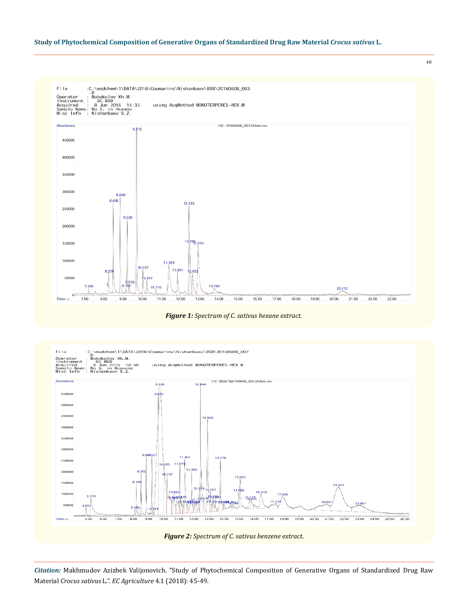### **Study of Phytochemical Composition of Generative Organs of Standardized Drug Raw Material** *Crocus sativus* **L.**



48